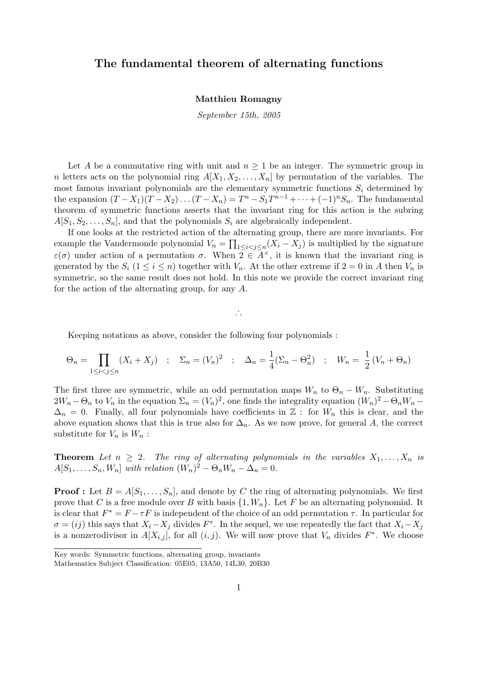## The fundamental theorem of alternating functions

## Matthieu Romagny

September 15th, 2005

Let A be a commutative ring with unit and  $n \geq 1$  be an integer. The symmetric group in n letters acts on the polynomial ring  $A[X_1, X_2, \ldots, X_n]$  by permutation of the variables. The most famous invariant polynomials are the elementary symmetric functions  $S_i$  determined by the expansion  $(T - X_1)(T - X_2) \dots (T - X_n) = T^n - S_1 T^{n-1} + \dots + (-1)^n S_n$ . The fundamental theorem of symmetric functions asserts that the invariant ring for this action is the subring  $A[S_1, S_2, \ldots, S_n]$ , and that the polynomials  $S_i$  are algebraically independent.

If one looks at the restricted action of the alternating group, there are more invariants. For example the Vandermonde polynomial  $V_n = \prod_{1 \leq i < j \leq n} (X_i - X_j)$  is multiplied by the signature  $\varepsilon(\sigma)$  under action of a permutation  $\sigma$ . When  $2 \in A^{\times}$ , it is known that the invariant ring is generated by the  $S_i$   $(1 \leq i \leq n)$  together with  $V_n$ . At the other extreme if  $2 = 0$  in A then  $V_n$  is symmetric, so the same result does not hold. In this note we provide the correct invariant ring for the action of the alternating group, for any A.

∴

Keeping notations as above, consider the following four polynomials :

$$
\Theta_n = \prod_{1 \le i < j \le n} (X_i + X_j) \quad ; \quad \Sigma_n = (V_n)^2 \quad ; \quad \Delta_n = \frac{1}{4} (\Sigma_n - \Theta_n^2) \quad ; \quad W_n = \frac{1}{2} (V_n + \Theta_n)
$$

The first three are symmetric, while an odd permutation maps  $W_n$  to  $\Theta_n - W_n$ . Substituting  $2W_n - \Theta_n$  to  $V_n$  in the equation  $\Sigma_n = (V_n)^2$ , one finds the integrality equation  $(W_n)^2 - \Theta_n W_n$  $\Delta_n = 0$ . Finally, all four polynomials have coefficients in  $\mathbb{Z}$ : for  $W_n$  this is clear, and the above equation shows that this is true also for  $\Delta_n$ . As we now prove, for general A, the correct substitute for  $V_n$  is  $W_n$ :

**Theorem** Let  $n \geq 2$ . The ring of alternating polynomials in the variables  $X_1, \ldots, X_n$  is  $A[S_1, \ldots, S_n, W_n]$  with relation  $(W_n)^2 - \Theta_n W_n - \Delta_n = 0$ .

**Proof :** Let  $B = A[S_1, \ldots, S_n]$ , and denote by C the ring of alternating polynomials. We first prove that C is a free module over B with basis  $\{1, W_n\}$ . Let F be an alternating polynomial. It is clear that  $F^* = F - \tau F$  is independent of the choice of an odd permutation  $\tau$ . In particular for  $\sigma = (ij)$  this says that  $X_i - X_j$  divides  $F^*$ . In the sequel, we use repeatedly the fact that  $X_i - X_j$ is a nonzerodivisor in  $A[X_{i,j}]$ , for all  $(i, j)$ . We will now prove that  $V_n$  divides  $F^*$ . We choose

Key words: Symmetric functions, alternating group, invariants

Mathematics Subject Classification: 05E05, 13A50, 14L30, 20B30